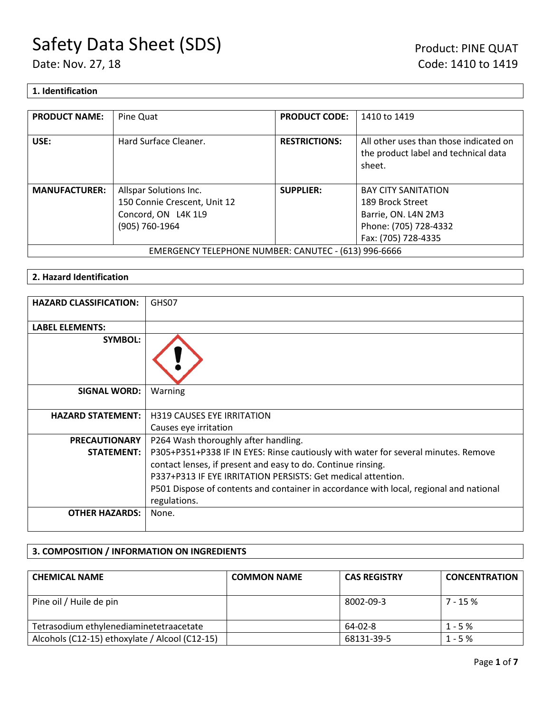## **1. Identification**

| <b>PRODUCT NAME:</b>                                 | Pine Quat                    | <b>PRODUCT CODE:</b> | 1410 to 1419                                                                             |
|------------------------------------------------------|------------------------------|----------------------|------------------------------------------------------------------------------------------|
| USE:                                                 | Hard Surface Cleaner.        | <b>RESTRICTIONS:</b> | All other uses than those indicated on<br>the product label and technical data<br>sheet. |
| <b>MANUFACTURER:</b>                                 | Allspar Solutions Inc.       | <b>SUPPLIER:</b>     | <b>BAY CITY SANITATION</b>                                                               |
|                                                      | 150 Connie Crescent, Unit 12 |                      | 189 Brock Street                                                                         |
|                                                      | Concord, ON L4K 1L9          |                      | Barrie, ON. L4N 2M3                                                                      |
|                                                      | (905) 760-1964               |                      | Phone: (705) 728-4332                                                                    |
|                                                      |                              |                      | Fax: (705) 728-4335                                                                      |
| EMERGENCY TELEPHONE NUMBER: CANUTEC - (613) 996-6666 |                              |                      |                                                                                          |

## **2. Hazard Identification**

| <b>HAZARD CLASSIFICATION:</b> | GHS07                                                                                  |
|-------------------------------|----------------------------------------------------------------------------------------|
| <b>LABEL ELEMENTS:</b>        |                                                                                        |
| <b>SYMBOL:</b>                |                                                                                        |
| <b>SIGNAL WORD:</b>           | Warning                                                                                |
| <b>HAZARD STATEMENT:</b>      | <b>H319 CAUSES EYE IRRITATION</b>                                                      |
|                               | Causes eye irritation                                                                  |
| <b>PRECAUTIONARY</b>          | P264 Wash thoroughly after handling.                                                   |
| <b>STATEMENT:</b>             | P305+P351+P338 IF IN EYES: Rinse cautiously with water for several minutes. Remove     |
|                               | contact lenses, if present and easy to do. Continue rinsing.                           |
|                               | P337+P313 IF EYE IRRITATION PERSISTS: Get medical attention.                           |
|                               | P501 Dispose of contents and container in accordance with local, regional and national |
|                               | regulations.                                                                           |
| <b>OTHER HAZARDS:</b>         | None.                                                                                  |

## **3. COMPOSITION / INFORMATION ON INGREDIENTS**

| <b>CHEMICAL NAME</b>                           | <b>COMMON NAME</b> | <b>CAS REGISTRY</b> | <b>CONCENTRATION</b> |
|------------------------------------------------|--------------------|---------------------|----------------------|
| Pine oil / Huile de pin                        |                    | 8002-09-3           | $7 - 15%$            |
| Tetrasodium ethylenediaminetetraacetate        |                    | 64-02-8             | $1 - 5%$             |
| Alcohols (C12-15) ethoxylate / Alcool (C12-15) |                    | 68131-39-5          | $1 - 5%$             |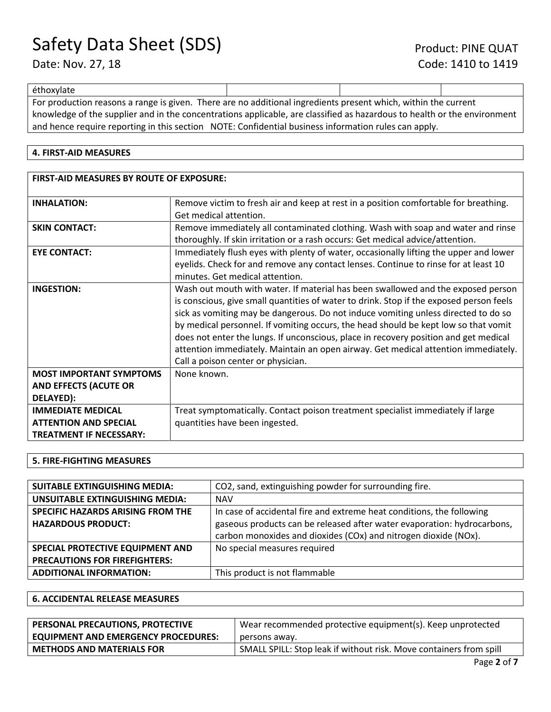## Safety Data Sheet (SDS) Product: PINE QUAT

## éthoxylate For production reasons a range is given. There are no additional ingredients present which, within the current knowledge of the supplier and in the concentrations applicable, are classified as hazardous to health or the environment and hence require reporting in this section NOTE: Confidential business information rules can apply.

## **4. FIRST-AID MEASURES**

| <b>FIRST-AID MEASURES BY ROUTE OF EXPOSURE:</b> |                                                                                         |  |
|-------------------------------------------------|-----------------------------------------------------------------------------------------|--|
| <b>INHALATION:</b>                              | Remove victim to fresh air and keep at rest in a position comfortable for breathing.    |  |
|                                                 | Get medical attention.                                                                  |  |
| <b>SKIN CONTACT:</b>                            | Remove immediately all contaminated clothing. Wash with soap and water and rinse        |  |
|                                                 | thoroughly. If skin irritation or a rash occurs: Get medical advice/attention.          |  |
| <b>EYE CONTACT:</b>                             | Immediately flush eyes with plenty of water, occasionally lifting the upper and lower   |  |
|                                                 | eyelids. Check for and remove any contact lenses. Continue to rinse for at least 10     |  |
|                                                 | minutes. Get medical attention.                                                         |  |
| <b>INGESTION:</b>                               | Wash out mouth with water. If material has been swallowed and the exposed person        |  |
|                                                 | is conscious, give small quantities of water to drink. Stop if the exposed person feels |  |
|                                                 | sick as vomiting may be dangerous. Do not induce vomiting unless directed to do so      |  |
|                                                 | by medical personnel. If vomiting occurs, the head should be kept low so that vomit     |  |
|                                                 | does not enter the lungs. If unconscious, place in recovery position and get medical    |  |
|                                                 | attention immediately. Maintain an open airway. Get medical attention immediately.      |  |
|                                                 | Call a poison center or physician.                                                      |  |
| <b>MOST IMPORTANT SYMPTOMS</b>                  | None known.                                                                             |  |
| <b>AND EFFECTS (ACUTE OR</b>                    |                                                                                         |  |
| DELAYED):                                       |                                                                                         |  |
| <b>IMMEDIATE MEDICAL</b>                        | Treat symptomatically. Contact poison treatment specialist immediately if large         |  |
| <b>ATTENTION AND SPECIAL</b>                    | quantities have been ingested.                                                          |  |
| <b>TREATMENT IF NECESSARY:</b>                  |                                                                                         |  |

## **5. FIRE-FIGHTING MEASURES**

| <b>SUITABLE EXTINGUISHING MEDIA:</b>     | CO2, sand, extinguishing powder for surrounding fire.                   |
|------------------------------------------|-------------------------------------------------------------------------|
| <b>UNSUITABLE EXTINGUISHING MEDIA:</b>   | <b>NAV</b>                                                              |
| <b>SPECIFIC HAZARDS ARISING FROM THE</b> | In case of accidental fire and extreme heat conditions, the following   |
| <b>HAZARDOUS PRODUCT:</b>                | gaseous products can be released after water evaporation: hydrocarbons, |
|                                          | carbon monoxides and dioxides (COx) and nitrogen dioxide (NOx).         |
| SPECIAL PROTECTIVE EQUIPMENT AND         | No special measures required                                            |
| <b>PRECAUTIONS FOR FIREFIGHTERS:</b>     |                                                                         |
| <b>ADDITIONAL INFORMATION:</b>           | This product is not flammable                                           |

#### **6. ACCIDENTAL RELEASE MEASURES**

| PERSONAL PRECAUTIONS, PROTECTIVE           | Wear recommended protective equipment(s). Keep unprotected         |  |
|--------------------------------------------|--------------------------------------------------------------------|--|
| <b>EQUIPMENT AND EMERGENCY PROCEDURES:</b> | persons away.                                                      |  |
| <b>METHODS AND MATERIALS FOR</b>           | SMALL SPILL: Stop leak if without risk. Move containers from spill |  |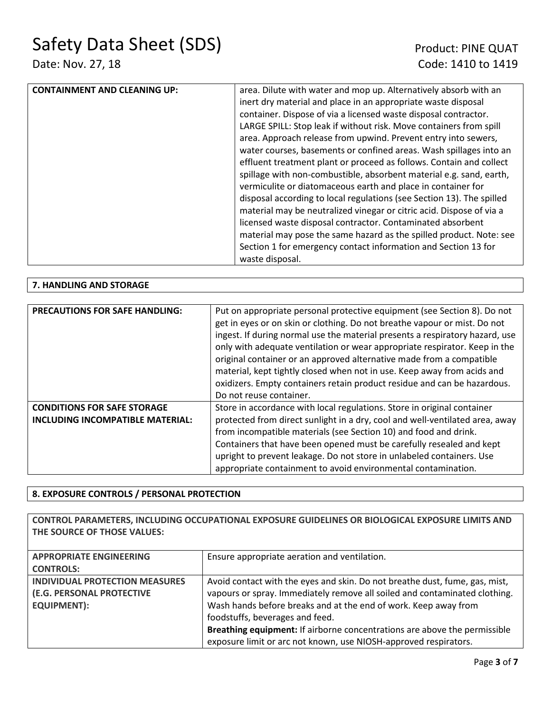| <b>CONTAINMENT AND CLEANING UP:</b> |                                                                       |
|-------------------------------------|-----------------------------------------------------------------------|
|                                     | area. Dilute with water and mop up. Alternatively absorb with an      |
|                                     | inert dry material and place in an appropriate waste disposal         |
|                                     | container. Dispose of via a licensed waste disposal contractor.       |
|                                     | LARGE SPILL: Stop leak if without risk. Move containers from spill    |
|                                     | area. Approach release from upwind. Prevent entry into sewers,        |
|                                     | water courses, basements or confined areas. Wash spillages into an    |
|                                     | effluent treatment plant or proceed as follows. Contain and collect   |
|                                     | spillage with non-combustible, absorbent material e.g. sand, earth,   |
|                                     | vermiculite or diatomaceous earth and place in container for          |
|                                     | disposal according to local regulations (see Section 13). The spilled |
|                                     | material may be neutralized vinegar or citric acid. Dispose of via a  |
|                                     | licensed waste disposal contractor. Contaminated absorbent            |
|                                     | material may pose the same hazard as the spilled product. Note: see   |
|                                     | Section 1 for emergency contact information and Section 13 for        |
|                                     | waste disposal.                                                       |

## **7. HANDLING AND STORAGE**

| <b>PRECAUTIONS FOR SAFE HANDLING:</b>                                         | Put on appropriate personal protective equipment (see Section 8). Do not<br>get in eyes or on skin or clothing. Do not breathe vapour or mist. Do not<br>ingest. If during normal use the material presents a respiratory hazard, use<br>only with adequate ventilation or wear appropriate respirator. Keep in the<br>original container or an approved alternative made from a compatible<br>material, kept tightly closed when not in use. Keep away from acids and<br>oxidizers. Empty containers retain product residue and can be hazardous.<br>Do not reuse container. |
|-------------------------------------------------------------------------------|-------------------------------------------------------------------------------------------------------------------------------------------------------------------------------------------------------------------------------------------------------------------------------------------------------------------------------------------------------------------------------------------------------------------------------------------------------------------------------------------------------------------------------------------------------------------------------|
| <b>CONDITIONS FOR SAFE STORAGE</b><br><b>INCLUDING INCOMPATIBLE MATERIAL:</b> | Store in accordance with local regulations. Store in original container<br>protected from direct sunlight in a dry, cool and well-ventilated area, away<br>from incompatible materials (see Section 10) and food and drink.<br>Containers that have been opened must be carefully resealed and kept<br>upright to prevent leakage. Do not store in unlabeled containers. Use<br>appropriate containment to avoid environmental contamination.                                                                                                                                 |

## **8. EXPOSURE CONTROLS / PERSONAL PROTECTION**

**CONTROL PARAMETERS, INCLUDING OCCUPATIONAL EXPOSURE GUIDELINES OR BIOLOGICAL EXPOSURE LIMITS AND THE SOURCE OF THOSE VALUES:**

| <b>APPROPRIATE ENGINEERING</b><br><b>CONTROLS:</b> | Ensure appropriate aeration and ventilation.                                |
|----------------------------------------------------|-----------------------------------------------------------------------------|
| <b>INDIVIDUAL PROTECTION MEASURES</b>              | Avoid contact with the eyes and skin. Do not breathe dust, fume, gas, mist, |
| (E.G. PERSONAL PROTECTIVE                          | vapours or spray. Immediately remove all soiled and contaminated clothing.  |
| <b>EQUIPMENT):</b>                                 | Wash hands before breaks and at the end of work. Keep away from             |
|                                                    | foodstuffs, beverages and feed.                                             |
|                                                    | Breathing equipment: If airborne concentrations are above the permissible   |
|                                                    | exposure limit or arc not known, use NIOSH-approved respirators.            |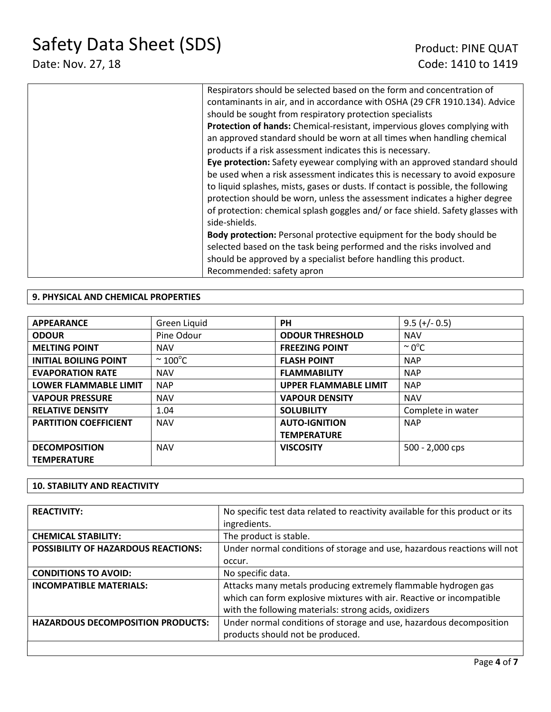# Safety Data Sheet (SDS) Product: PINE QUAT

| Respirators should be selected based on the form and concentration of            |
|----------------------------------------------------------------------------------|
| contaminants in air, and in accordance with OSHA (29 CFR 1910.134). Advice       |
| should be sought from respiratory protection specialists                         |
| Protection of hands: Chemical-resistant, impervious gloves complying with        |
| an approved standard should be worn at all times when handling chemical          |
| products if a risk assessment indicates this is necessary.                       |
| Eye protection: Safety eyewear complying with an approved standard should        |
| be used when a risk assessment indicates this is necessary to avoid exposure     |
| to liquid splashes, mists, gases or dusts. If contact is possible, the following |
| protection should be worn, unless the assessment indicates a higher degree       |
| of protection: chemical splash goggles and/or face shield. Safety glasses with   |
| side-shields.                                                                    |
| <b>Body protection:</b> Personal protective equipment for the body should be     |
| selected based on the task being performed and the risks involved and            |
| should be approved by a specialist before handling this product.                 |
| Recommended: safety apron                                                        |

## **9. PHYSICAL AND CHEMICAL PROPERTIES**

| <b>APPEARANCE</b>            | Green Liquid            | <b>PH</b>                    | $9.5 (+/- 0.5)$    |
|------------------------------|-------------------------|------------------------------|--------------------|
| <b>ODOUR</b>                 | Pine Odour              | <b>ODOUR THRESHOLD</b>       | <b>NAV</b>         |
| <b>MELTING POINT</b>         | <b>NAV</b>              | <b>FREEZING POINT</b>        | $\sim 0^{\circ}$ C |
| <b>INITIAL BOILING POINT</b> | $\sim$ 100 $^{\circ}$ C | <b>FLASH POINT</b>           | <b>NAP</b>         |
| <b>EVAPORATION RATE</b>      | <b>NAV</b>              | <b>FLAMMABILITY</b>          | <b>NAP</b>         |
| <b>LOWER FLAMMABLE LIMIT</b> | <b>NAP</b>              | <b>UPPER FLAMMABLE LIMIT</b> | <b>NAP</b>         |
| <b>VAPOUR PRESSURE</b>       | <b>NAV</b>              | <b>VAPOUR DENSITY</b>        | <b>NAV</b>         |
| <b>RELATIVE DENSITY</b>      | 1.04                    | <b>SOLUBILITY</b>            | Complete in water  |
| <b>PARTITION COEFFICIENT</b> | <b>NAV</b>              | <b>AUTO-IGNITION</b>         | <b>NAP</b>         |
|                              |                         | <b>TEMPERATURE</b>           |                    |
| <b>DECOMPOSITION</b>         | <b>NAV</b>              | <b>VISCOSITY</b>             | 500 - 2,000 cps    |
| <b>TEMPERATURE</b>           |                         |                              |                    |

## **10. STABILITY AND REACTIVITY**

| <b>REACTIVITY:</b>                         | No specific test data related to reactivity available for this product or its |
|--------------------------------------------|-------------------------------------------------------------------------------|
|                                            | ingredients.                                                                  |
| <b>CHEMICAL STABILITY:</b>                 | The product is stable.                                                        |
| <b>POSSIBILITY OF HAZARDOUS REACTIONS:</b> | Under normal conditions of storage and use, hazardous reactions will not      |
|                                            | occur.                                                                        |
| <b>CONDITIONS TO AVOID:</b>                | No specific data.                                                             |
| <b>INCOMPATIBLE MATERIALS:</b>             | Attacks many metals producing extremely flammable hydrogen gas                |
|                                            | which can form explosive mixtures with air. Reactive or incompatible          |
|                                            | with the following materials: strong acids, oxidizers                         |
| <b>HAZARDOUS DECOMPOSITION PRODUCTS:</b>   | Under normal conditions of storage and use, hazardous decomposition           |
|                                            | products should not be produced.                                              |
|                                            |                                                                               |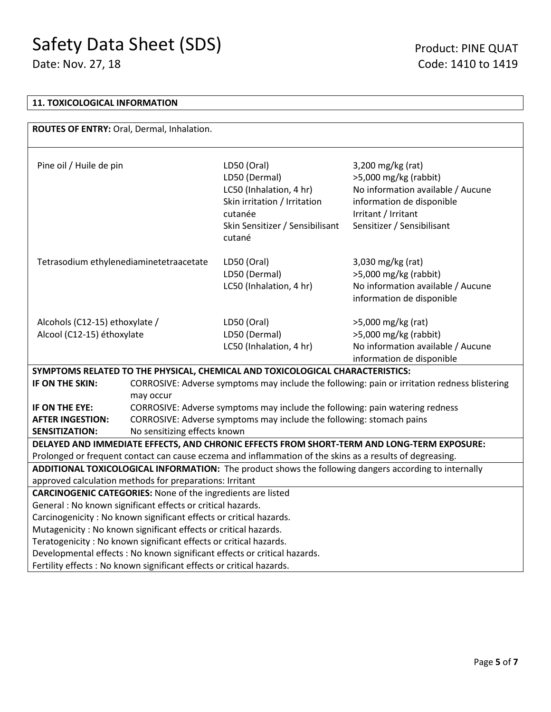#### **11. TOXICOLOGICAL INFORMATION**

| ROUTES OF ENTRY: Oral, Dermal, Inhalation.                                                               |                                                                      |                                                                                                                                                 |                                                                                                                                                                   |  |
|----------------------------------------------------------------------------------------------------------|----------------------------------------------------------------------|-------------------------------------------------------------------------------------------------------------------------------------------------|-------------------------------------------------------------------------------------------------------------------------------------------------------------------|--|
| Pine oil / Huile de pin                                                                                  |                                                                      | LD50 (Oral)<br>LD50 (Dermal)<br>LC50 (Inhalation, 4 hr)<br>Skin irritation / Irritation<br>cutanée<br>Skin Sensitizer / Sensibilisant<br>cutané | 3,200 mg/kg (rat)<br>>5,000 mg/kg (rabbit)<br>No information available / Aucune<br>information de disponible<br>Irritant / Irritant<br>Sensitizer / Sensibilisant |  |
| Tetrasodium ethylenediaminetetraacetate                                                                  |                                                                      | LD50 (Oral)<br>LD50 (Dermal)<br>LC50 (Inhalation, 4 hr)                                                                                         | 3,030 mg/kg (rat)<br>>5,000 mg/kg (rabbit)<br>No information available / Aucune<br>information de disponible                                                      |  |
| Alcohols (C12-15) ethoxylate /                                                                           |                                                                      | LD50 (Oral)                                                                                                                                     | >5,000 mg/kg (rat)                                                                                                                                                |  |
| Alcool (C12-15) éthoxylate                                                                               |                                                                      | LD50 (Dermal)                                                                                                                                   | >5,000 mg/kg (rabbit)                                                                                                                                             |  |
|                                                                                                          |                                                                      | LC50 (Inhalation, 4 hr)                                                                                                                         | No information available / Aucune                                                                                                                                 |  |
|                                                                                                          |                                                                      |                                                                                                                                                 | information de disponible                                                                                                                                         |  |
|                                                                                                          |                                                                      | SYMPTOMS RELATED TO THE PHYSICAL, CHEMICAL AND TOXICOLOGICAL CHARACTERISTICS:                                                                   |                                                                                                                                                                   |  |
| IF ON THE SKIN:                                                                                          |                                                                      |                                                                                                                                                 | CORROSIVE: Adverse symptoms may include the following: pain or irritation redness blistering                                                                      |  |
|                                                                                                          | may occur                                                            |                                                                                                                                                 |                                                                                                                                                                   |  |
| IF ON THE EYE:                                                                                           |                                                                      | CORROSIVE: Adverse symptoms may include the following: pain watering redness                                                                    |                                                                                                                                                                   |  |
| <b>AFTER INGESTION:</b>                                                                                  | CORROSIVE: Adverse symptoms may include the following: stomach pains |                                                                                                                                                 |                                                                                                                                                                   |  |
| <b>SENSITIZATION:</b>                                                                                    | No sensitizing effects known                                         |                                                                                                                                                 |                                                                                                                                                                   |  |
|                                                                                                          |                                                                      |                                                                                                                                                 | DELAYED AND IMMEDIATE EFFECTS, AND CHRONIC EFFECTS FROM SHORT-TERM AND LONG-TERM EXPOSURE:                                                                        |  |
| Prolonged or frequent contact can cause eczema and inflammation of the skins as a results of degreasing. |                                                                      |                                                                                                                                                 |                                                                                                                                                                   |  |
|                                                                                                          |                                                                      |                                                                                                                                                 | ADDITIONAL TOXICOLOGICAL INFORMATION: The product shows the following dangers according to internally                                                             |  |
| approved calculation methods for preparations: Irritant                                                  |                                                                      |                                                                                                                                                 |                                                                                                                                                                   |  |
| <b>CARCINOGENIC CATEGORIES:</b> None of the ingredients are listed                                       |                                                                      |                                                                                                                                                 |                                                                                                                                                                   |  |
| General : No known significant effects or critical hazards.                                              |                                                                      |                                                                                                                                                 |                                                                                                                                                                   |  |
| Carcinogenicity: No known significant effects or critical hazards.                                       |                                                                      |                                                                                                                                                 |                                                                                                                                                                   |  |
| Mutagenicity : No known significant effects or critical hazards.                                         |                                                                      |                                                                                                                                                 |                                                                                                                                                                   |  |
| Teratogenicity: No known significant effects or critical hazards.                                        |                                                                      |                                                                                                                                                 |                                                                                                                                                                   |  |
| Developmental effects : No known significant effects or critical hazards.                                |                                                                      |                                                                                                                                                 |                                                                                                                                                                   |  |
| Fertility effects : No known significant effects or critical hazards.                                    |                                                                      |                                                                                                                                                 |                                                                                                                                                                   |  |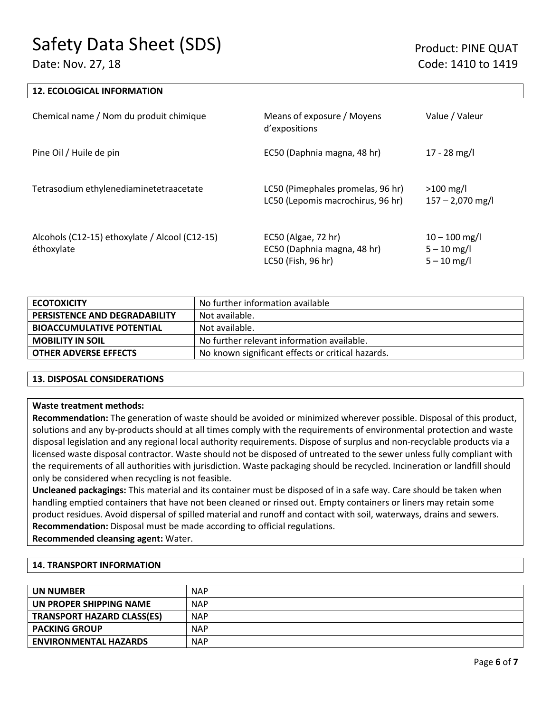## **12. ECOLOGICAL INFORMATION**

| Chemical name / Nom du produit chimique                      | Means of exposure / Moyens<br>d'expositions                              | Value / Valeur                                    |
|--------------------------------------------------------------|--------------------------------------------------------------------------|---------------------------------------------------|
| Pine Oil / Huile de pin                                      | EC50 (Daphnia magna, 48 hr)                                              | $17 - 28$ mg/l                                    |
| Tetrasodium ethylenediaminetetraacetate                      | LC50 (Pimephales promelas, 96 hr)<br>LC50 (Lepomis macrochirus, 96 hr)   | $>100$ mg/l<br>$157 - 2,070$ mg/l                 |
| Alcohols (C12-15) ethoxylate / Alcool (C12-15)<br>éthoxylate | EC50 (Algae, 72 hr)<br>EC50 (Daphnia magna, 48 hr)<br>LC50 (Fish, 96 hr) | $10 - 100$ mg/l<br>$5 - 10$ mg/l<br>$5 - 10$ mg/l |

| <b>ECOTOXICITY</b>               | No further information available                  |
|----------------------------------|---------------------------------------------------|
| PERSISTENCE AND DEGRADABILITY    | Not available.                                    |
| <b>BIOACCUMULATIVE POTENTIAL</b> | Not available.                                    |
| <b>MOBILITY IN SOIL</b>          | No further relevant information available.        |
| <b>OTHER ADVERSE EFFECTS</b>     | No known significant effects or critical hazards. |

#### **13. DISPOSAL CONSIDERATIONS**

#### **Waste treatment methods:**

**Recommendation:** The generation of waste should be avoided or minimized wherever possible. Disposal of this product, solutions and any by-products should at all times comply with the requirements of environmental protection and waste disposal legislation and any regional local authority requirements. Dispose of surplus and non-recyclable products via a licensed waste disposal contractor. Waste should not be disposed of untreated to the sewer unless fully compliant with the requirements of all authorities with jurisdiction. Waste packaging should be recycled. Incineration or landfill should only be considered when recycling is not feasible.

**Uncleaned packagings:** This material and its container must be disposed of in a safe way. Care should be taken when handling emptied containers that have not been cleaned or rinsed out. Empty containers or liners may retain some product residues. Avoid dispersal of spilled material and runoff and contact with soil, waterways, drains and sewers. **Recommendation:** Disposal must be made according to official regulations.

**Recommended cleansing agent:** Water.

#### **14. TRANSPORT INFORMATION**

| <b>UN NUMBER</b>                  | <b>NAP</b> |
|-----------------------------------|------------|
| UN PROPER SHIPPING NAME           | <b>NAP</b> |
| <b>TRANSPORT HAZARD CLASS(ES)</b> | <b>NAP</b> |
| <b>PACKING GROUP</b>              | <b>NAP</b> |
| <b>ENVIRONMENTAL HAZARDS</b>      | <b>NAP</b> |